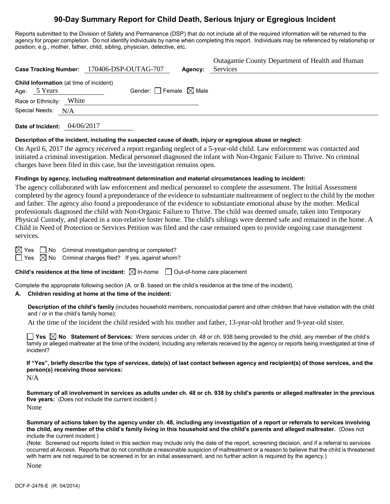# **90-Day Summary Report for Child Death, Serious Injury or Egregious Incident**

Reports submitted to the Division of Safety and Permanence (DSP) that do not include all of the required information will be returned to the agency for proper completion. Do not identify individuals by name when completing this report. Individuals may be referenced by relationship or position; e.g., mother, father, child, sibling, physician, detective, etc.

|                                                                | Case Tracking Number: 170406-DSP-OUTAG-707 | Agency: | Outagamie County Department of Health and Human<br>Services |
|----------------------------------------------------------------|--------------------------------------------|---------|-------------------------------------------------------------|
| <b>Child Information</b> (at time of incident)<br>Age: 5 Years | Gender: $\Box$ Female $\boxtimes$ Male     |         |                                                             |
| White<br>Race or Ethnicity:                                    |                                            |         |                                                             |
| Special Needs: N/A                                             |                                            |         |                                                             |
|                                                                |                                            |         |                                                             |

**Date of Incident:** 04/06/2017

#### **Description of the incident, including the suspected cause of death, injury or egregious abuse or neglect:**

On April 6, 2017 the agency received a report regarding neglect of a 5-year-old child. Law enforcement was contacted and initiated a criminal investigation. Medical personnel diagnosed the infant with Non-Organic Failure to Thrive. No criminal charges have been filed in this case, but the investigation remains open.

#### **Findings by agency, including maltreatment determination and material circumstances leading to incident:**

The agency collaborated with law enforcement and medical personnel to complete the assessment. The Initial Assessment completed by the agency found a preponderance of the evidence to substantiate maltreatment of neglect to the child by the mother and father. The agency also found a preponderance of the evidence to substantiate emotional abuse by the mother. Medical professionals diagnosed the child with Non-Organic Failure to Thrive. The child was deemed unsafe, taken into Temporary Physical Custody, and placed in a non-relative foster home. The child's siblings were deemed safe and remained in the home. A Child in Need of Protection or Services Petition was filed and the case remained open to provide ongoing case management services.

 $\boxtimes$  Yes  $\Box$  No Criminal investigation pending or completed?

 $\Box$  Yes  $\boxtimes$  No Criminal charges filed? If yes, against whom?

**Child's residence at the time of incident:**  $\boxtimes$  In-home  $\Box$  Out-of-home care placement

Complete the appropriate following section (A. or B. based on the child's residence at the time of the incident).

#### **A. Children residing at home at the time of the incident:**

**Description of the child's family** (includes household members, noncustodial parent and other children that have visitation with the child and / or in the child's family home):

At the time of the incident the child resided with his mother and father, 13-year-old brother and 9-year-old sister.

■ Yes △ No Statement of Services: Were services under ch. 48 or ch. 938 being provided to the child, any member of the child's family or alleged maltreater at the time of the incident, including any referrals received by the agency or reports being investigated at time of incident?

**If "Yes", briefly describe the type of services, date(s) of last contact between agency and recipient(s) of those services, and the person(s) receiving those services:**

N/A

**Summary of all involvement in services as adults under ch. 48 or ch. 938 by child's parents or alleged maltreater in the previous five years:** (Does not include the current incident.) None

**Summary of actions taken by the agency under ch. 48, including any investigation of a report or referrals to services involving the child, any member of the child's family living in this household and the child's parents and alleged maltreater.** (Does not include the current incident.)

(Note: Screened out reports listed in this section may include only the date of the report, screening decision, and if a referral to services occurred at Access. Reports that do not constitute a reasonable suspicion of maltreatment or a reason to believe that the child is threatened with harm are not required to be screened in for an initial assessment, and no further action is required by the agency.)

None